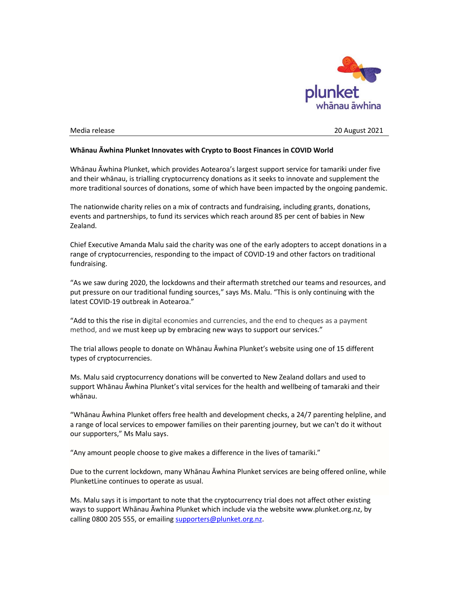

Media release 20 August 2021

## Whānau Āwhina Plunket Innovates with Crypto to Boost Finances in COVID World

Whānau Āwhina Plunket, which provides Aotearoa's largest support service for tamariki under five and their whānau, is trialling cryptocurrency donations as it seeks to innovate and supplement the more traditional sources of donations, some of which have been impacted by the ongoing pandemic.

The nationwide charity relies on a mix of contracts and fundraising, including grants, donations, events and partnerships, to fund its services which reach around 85 per cent of babies in New Zealand.

Chief Executive Amanda Malu said the charity was one of the early adopters to accept donations in a range of cryptocurrencies, responding to the impact of COVID-19 and other factors on traditional fundraising.

"As we saw during 2020, the lockdowns and their aftermath stretched our teams and resources, and put pressure on our traditional funding sources," says Ms. Malu. "This is only continuing with the latest COVID-19 outbreak in Aotearoa."

"Add to this the rise in digital economies and currencies, and the end to cheques as a payment method, and we must keep up by embracing new ways to support our services."

The trial allows people to donate on Whānau Āwhina Plunket's website using one of 15 different types of cryptocurrencies.

Ms. Malu said cryptocurrency donations will be converted to New Zealand dollars and used to support Whānau Āwhina Plunket's vital services for the health and wellbeing of tamaraki and their whānau.

"Whānau Āwhina Plunket offers free health and development checks, a 24/7 parenting helpline, and a range of local services to empower families on their parenting journey, but we can't do it without our supporters," Ms Malu says.

"Any amount people choose to give makes a difference in the lives of tamariki."

Due to the current lockdown, many Whānau Āwhina Plunket services are being offered online, while PlunketLine continues to operate as usual.

Ms. Malu says it is important to note that the cryptocurrency trial does not affect other existing ways to support Whānau Āwhina Plunket which include via the website www.plunket.org.nz, by calling 0800 205 555, or emailing supporters@plunket.org.nz.